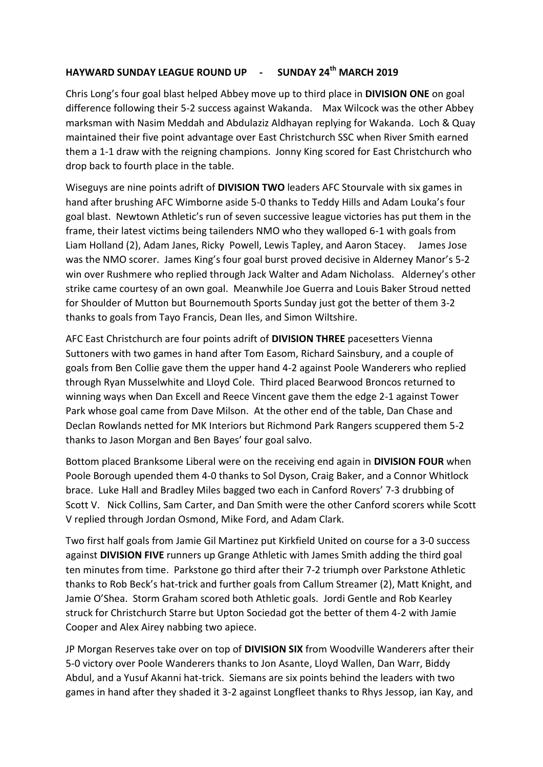## **HAYWARD SUNDAY LEAGUE ROUND UP - SUNDAY 24th MARCH 2019**

Chris Long's four goal blast helped Abbey move up to third place in **DIVISION ONE** on goal difference following their 5-2 success against Wakanda. Max Wilcock was the other Abbey marksman with Nasim Meddah and Abdulaziz Aldhayan replying for Wakanda. Loch & Quay maintained their five point advantage over East Christchurch SSC when River Smith earned them a 1-1 draw with the reigning champions. Jonny King scored for East Christchurch who drop back to fourth place in the table.

Wiseguys are nine points adrift of **DIVISION TWO** leaders AFC Stourvale with six games in hand after brushing AFC Wimborne aside 5-0 thanks to Teddy Hills and Adam Louka's four goal blast. Newtown Athletic's run of seven successive league victories has put them in the frame, their latest victims being tailenders NMO who they walloped 6-1 with goals from Liam Holland (2), Adam Janes, Ricky Powell, Lewis Tapley, and Aaron Stacey. James Jose was the NMO scorer. James King's four goal burst proved decisive in Alderney Manor's 5-2 win over Rushmere who replied through Jack Walter and Adam Nicholass. Alderney's other strike came courtesy of an own goal. Meanwhile Joe Guerra and Louis Baker Stroud netted for Shoulder of Mutton but Bournemouth Sports Sunday just got the better of them 3-2 thanks to goals from Tayo Francis, Dean Iles, and Simon Wiltshire.

AFC East Christchurch are four points adrift of **DIVISION THREE** pacesetters Vienna Suttoners with two games in hand after Tom Easom, Richard Sainsbury, and a couple of goals from Ben Collie gave them the upper hand 4-2 against Poole Wanderers who replied through Ryan Musselwhite and Lloyd Cole. Third placed Bearwood Broncos returned to winning ways when Dan Excell and Reece Vincent gave them the edge 2-1 against Tower Park whose goal came from Dave Milson. At the other end of the table, Dan Chase and Declan Rowlands netted for MK Interiors but Richmond Park Rangers scuppered them 5-2 thanks to Jason Morgan and Ben Bayes' four goal salvo.

Bottom placed Branksome Liberal were on the receiving end again in **DIVISION FOUR** when Poole Borough upended them 4-0 thanks to Sol Dyson, Craig Baker, and a Connor Whitlock brace. Luke Hall and Bradley Miles bagged two each in Canford Rovers' 7-3 drubbing of Scott V. Nick Collins, Sam Carter, and Dan Smith were the other Canford scorers while Scott V replied through Jordan Osmond, Mike Ford, and Adam Clark.

Two first half goals from Jamie Gil Martinez put Kirkfield United on course for a 3-0 success against **DIVISION FIVE** runners up Grange Athletic with James Smith adding the third goal ten minutes from time. Parkstone go third after their 7-2 triumph over Parkstone Athletic thanks to Rob Beck's hat-trick and further goals from Callum Streamer (2), Matt Knight, and Jamie O'Shea. Storm Graham scored both Athletic goals. Jordi Gentle and Rob Kearley struck for Christchurch Starre but Upton Sociedad got the better of them 4-2 with Jamie Cooper and Alex Airey nabbing two apiece.

JP Morgan Reserves take over on top of **DIVISION SIX** from Woodville Wanderers after their 5-0 victory over Poole Wanderers thanks to Jon Asante, Lloyd Wallen, Dan Warr, Biddy Abdul, and a Yusuf Akanni hat-trick. Siemans are six points behind the leaders with two games in hand after they shaded it 3-2 against Longfleet thanks to Rhys Jessop, ian Kay, and